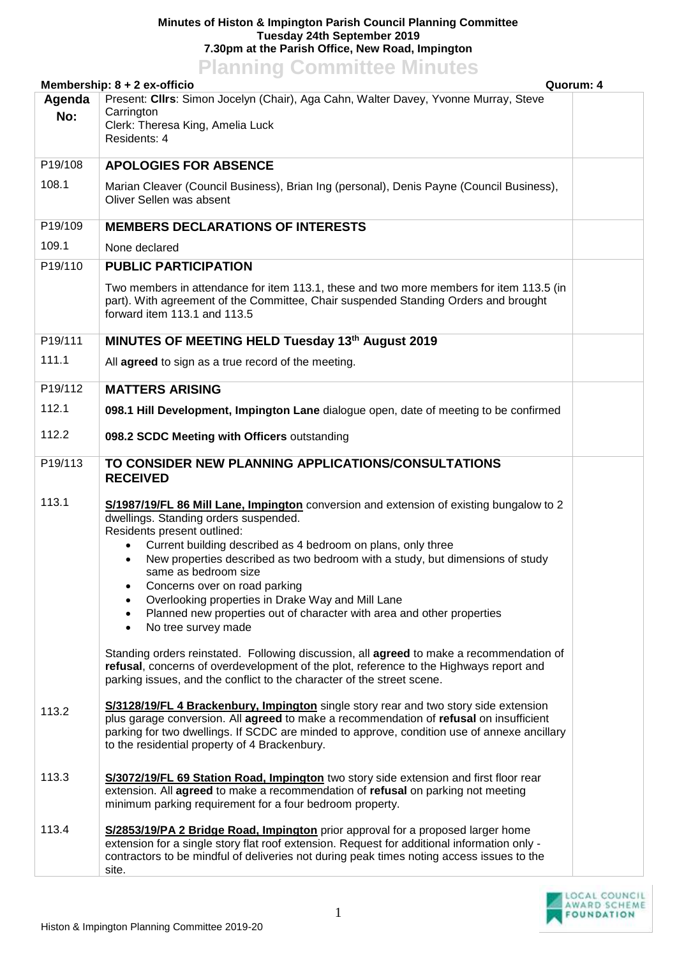## **Minutes of Histon & Impington Parish Council Planning Committee Tuesday 24th September 2019 7.30pm at the Parish Office, New Road, Impington Planning Committee Minutes**

| <b>FIGHTING CONTINUES MINUTES</b><br>Membership: 8 + 2 ex-officio<br>Quorum: 4 |                                                                                                                                                                                                                                                                                                                                                                                                                                                                                                                                           |  |  |  |
|--------------------------------------------------------------------------------|-------------------------------------------------------------------------------------------------------------------------------------------------------------------------------------------------------------------------------------------------------------------------------------------------------------------------------------------------------------------------------------------------------------------------------------------------------------------------------------------------------------------------------------------|--|--|--|
| Agenda<br>No:                                                                  | Present: Clirs: Simon Jocelyn (Chair), Aga Cahn, Walter Davey, Yvonne Murray, Steve<br>Carrington<br>Clerk: Theresa King, Amelia Luck<br>Residents: 4                                                                                                                                                                                                                                                                                                                                                                                     |  |  |  |
| P19/108                                                                        | <b>APOLOGIES FOR ABSENCE</b>                                                                                                                                                                                                                                                                                                                                                                                                                                                                                                              |  |  |  |
| 108.1                                                                          | Marian Cleaver (Council Business), Brian Ing (personal), Denis Payne (Council Business),<br>Oliver Sellen was absent                                                                                                                                                                                                                                                                                                                                                                                                                      |  |  |  |
| P19/109                                                                        | <b>MEMBERS DECLARATIONS OF INTERESTS</b>                                                                                                                                                                                                                                                                                                                                                                                                                                                                                                  |  |  |  |
| 109.1                                                                          | None declared                                                                                                                                                                                                                                                                                                                                                                                                                                                                                                                             |  |  |  |
| P19/110                                                                        | <b>PUBLIC PARTICIPATION</b>                                                                                                                                                                                                                                                                                                                                                                                                                                                                                                               |  |  |  |
|                                                                                | Two members in attendance for item 113.1, these and two more members for item 113.5 (in<br>part). With agreement of the Committee, Chair suspended Standing Orders and brought<br>forward item 113.1 and 113.5                                                                                                                                                                                                                                                                                                                            |  |  |  |
| P19/111                                                                        | MINUTES OF MEETING HELD Tuesday 13th August 2019                                                                                                                                                                                                                                                                                                                                                                                                                                                                                          |  |  |  |
| 111.1                                                                          | All agreed to sign as a true record of the meeting.                                                                                                                                                                                                                                                                                                                                                                                                                                                                                       |  |  |  |
| P19/112                                                                        | <b>MATTERS ARISING</b>                                                                                                                                                                                                                                                                                                                                                                                                                                                                                                                    |  |  |  |
| 112.1                                                                          | 098.1 Hill Development, Impington Lane dialogue open, date of meeting to be confirmed                                                                                                                                                                                                                                                                                                                                                                                                                                                     |  |  |  |
| 112.2                                                                          | 098.2 SCDC Meeting with Officers outstanding                                                                                                                                                                                                                                                                                                                                                                                                                                                                                              |  |  |  |
| P19/113                                                                        | TO CONSIDER NEW PLANNING APPLICATIONS/CONSULTATIONS<br><b>RECEIVED</b>                                                                                                                                                                                                                                                                                                                                                                                                                                                                    |  |  |  |
| 113.1                                                                          | S/1987/19/FL 86 Mill Lane, Impington conversion and extension of existing bungalow to 2<br>dwellings. Standing orders suspended.<br>Residents present outlined:<br>Current building described as 4 bedroom on plans, only three<br>New properties described as two bedroom with a study, but dimensions of study<br>same as bedroom size<br>Concerns over on road parking<br>٠<br>Overlooking properties in Drake Way and Mill Lane<br>Planned new properties out of character with area and other properties<br>No tree survey made<br>٠ |  |  |  |
|                                                                                | Standing orders reinstated. Following discussion, all <b>agreed</b> to make a recommendation of<br>refusal, concerns of overdevelopment of the plot, reference to the Highways report and<br>parking issues, and the conflict to the character of the street scene.                                                                                                                                                                                                                                                                       |  |  |  |
| 113.2                                                                          | S/3128/19/FL 4 Brackenbury, Impington single story rear and two story side extension<br>plus garage conversion. All agreed to make a recommendation of refusal on insufficient<br>parking for two dwellings. If SCDC are minded to approve, condition use of annexe ancillary<br>to the residential property of 4 Brackenbury.                                                                                                                                                                                                            |  |  |  |
| 113.3                                                                          | S/3072/19/FL 69 Station Road, Impington two story side extension and first floor rear<br>extension. All agreed to make a recommendation of refusal on parking not meeting<br>minimum parking requirement for a four bedroom property.                                                                                                                                                                                                                                                                                                     |  |  |  |
| 113.4                                                                          | S/2853/19/PA 2 Bridge Road, Impington prior approval for a proposed larger home<br>extension for a single story flat roof extension. Request for additional information only -<br>contractors to be mindful of deliveries not during peak times noting access issues to the<br>site.                                                                                                                                                                                                                                                      |  |  |  |

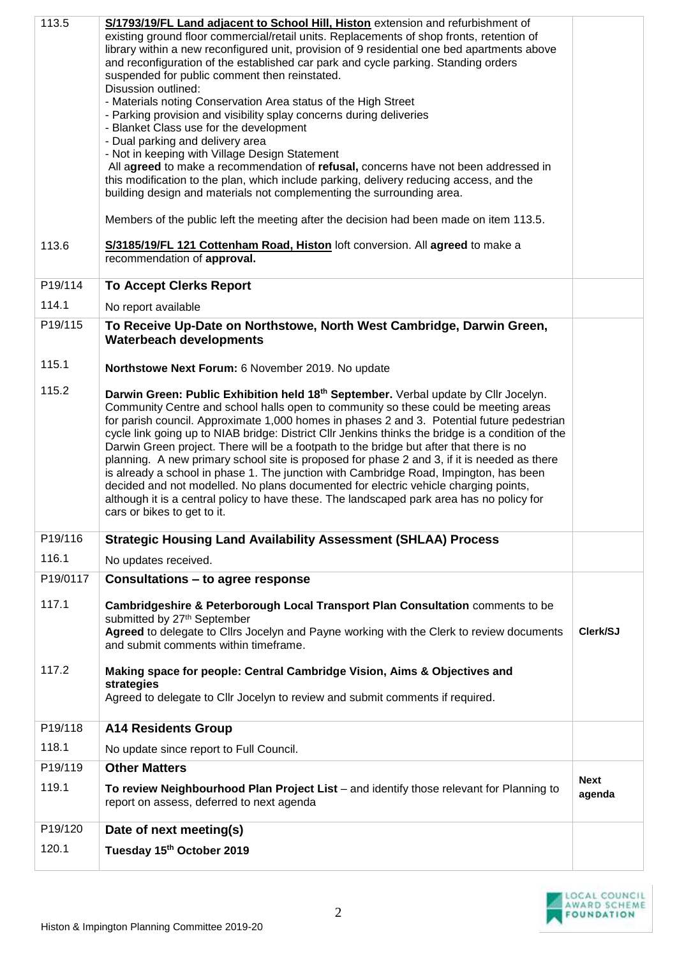| 113.5    | S/1793/19/FL Land adjacent to School Hill, Histon extension and refurbishment of                                                                                                       |                       |
|----------|----------------------------------------------------------------------------------------------------------------------------------------------------------------------------------------|-----------------------|
|          | existing ground floor commercial/retail units. Replacements of shop fronts, retention of                                                                                               |                       |
|          | library within a new reconfigured unit, provision of 9 residential one bed apartments above<br>and reconfiguration of the established car park and cycle parking. Standing orders      |                       |
|          | suspended for public comment then reinstated.                                                                                                                                          |                       |
|          | Disussion outlined:                                                                                                                                                                    |                       |
|          | - Materials noting Conservation Area status of the High Street<br>- Parking provision and visibility splay concerns during deliveries                                                  |                       |
|          | - Blanket Class use for the development                                                                                                                                                |                       |
|          | - Dual parking and delivery area                                                                                                                                                       |                       |
|          | - Not in keeping with Village Design Statement<br>All agreed to make a recommendation of refusal, concerns have not been addressed in                                                  |                       |
|          | this modification to the plan, which include parking, delivery reducing access, and the                                                                                                |                       |
|          | building design and materials not complementing the surrounding area.                                                                                                                  |                       |
|          | Members of the public left the meeting after the decision had been made on item 113.5.                                                                                                 |                       |
|          |                                                                                                                                                                                        |                       |
| 113.6    | S/3185/19/FL 121 Cottenham Road, Histon loft conversion. All agreed to make a<br>recommendation of approval.                                                                           |                       |
| P19/114  |                                                                                                                                                                                        |                       |
|          | <b>To Accept Clerks Report</b>                                                                                                                                                         |                       |
| 114.1    | No report available                                                                                                                                                                    |                       |
| P19/115  | To Receive Up-Date on Northstowe, North West Cambridge, Darwin Green,<br><b>Waterbeach developments</b>                                                                                |                       |
| 115.1    | Northstowe Next Forum: 6 November 2019. No update                                                                                                                                      |                       |
|          |                                                                                                                                                                                        |                       |
| 115.2    | Darwin Green: Public Exhibition held 18 <sup>th</sup> September. Verbal update by Cllr Jocelyn.<br>Community Centre and school halls open to community so these could be meeting areas |                       |
|          | for parish council. Approximate 1,000 homes in phases 2 and 3. Potential future pedestrian                                                                                             |                       |
|          | cycle link going up to NIAB bridge: District Cllr Jenkins thinks the bridge is a condition of the                                                                                      |                       |
|          | Darwin Green project. There will be a footpath to the bridge but after that there is no                                                                                                |                       |
|          | planning. A new primary school site is proposed for phase 2 and 3, if it is needed as there<br>is already a school in phase 1. The junction with Cambridge Road, Impington, has been   |                       |
|          | decided and not modelled. No plans documented for electric vehicle charging points,                                                                                                    |                       |
|          | although it is a central policy to have these. The landscaped park area has no policy for                                                                                              |                       |
|          | cars or bikes to get to it.                                                                                                                                                            |                       |
| P19/116  | <b>Strategic Housing Land Availability Assessment (SHLAA) Process</b>                                                                                                                  |                       |
| 116.1    | No updates received.                                                                                                                                                                   |                       |
| P19/0117 | Consultations - to agree response                                                                                                                                                      |                       |
| 117.1    | Cambridgeshire & Peterborough Local Transport Plan Consultation comments to be                                                                                                         |                       |
|          | submitted by 27th September                                                                                                                                                            | Clerk/SJ              |
|          | Agreed to delegate to Clirs Jocelyn and Payne working with the Clerk to review documents<br>and submit comments within timeframe.                                                      |                       |
| 117.2    | Making space for people: Central Cambridge Vision, Aims & Objectives and                                                                                                               |                       |
|          | strategies                                                                                                                                                                             |                       |
|          | Agreed to delegate to Cllr Jocelyn to review and submit comments if required.                                                                                                          |                       |
| P19/118  | <b>A14 Residents Group</b>                                                                                                                                                             |                       |
| 118.1    | No update since report to Full Council.                                                                                                                                                |                       |
| P19/119  | <b>Other Matters</b>                                                                                                                                                                   |                       |
| 119.1    | To review Neighbourhood Plan Project List - and identify those relevant for Planning to                                                                                                | <b>Next</b><br>agenda |
|          | report on assess, deferred to next agenda                                                                                                                                              |                       |
| P19/120  | Date of next meeting(s)                                                                                                                                                                |                       |
| 120.1    |                                                                                                                                                                                        |                       |
|          | Tuesday 15th October 2019                                                                                                                                                              |                       |